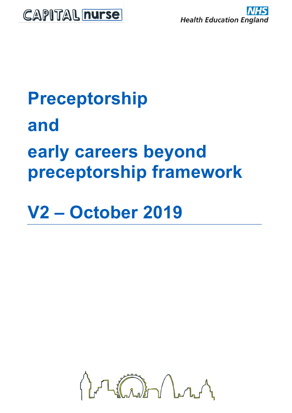

# **Preceptorship and early careers beyond preceptorship framework**

**V2 – October 2019**

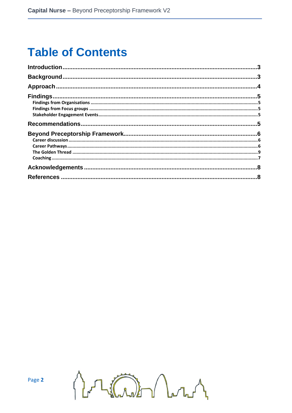# **Table of Contents**

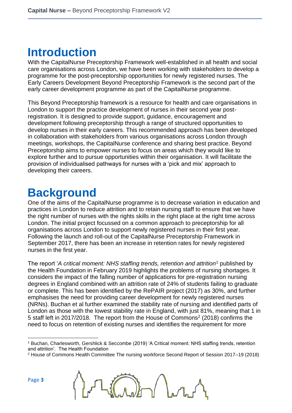### <span id="page-2-0"></span>**Introduction**

With the CapitalNurse Preceptorship Framework well-established in all health and social care organisations across London, we have been working with stakeholders to develop a programme for the post-preceptorship opportunities for newly registered nurses. The Early Careers Development Beyond Preceptorship Framework is the second part of the early career development programme as part of the CapitalNurse programme.

This Beyond Preceptorship framework is a resource for health and care organisations in London to support the practice development of nurses in their second year postregistration. It is designed to provide support, guidance, encouragement and development following preceptorship through a range of structured opportunities to develop nurses in their early careers. This recommended approach has been developed in collaboration with stakeholders from various organisations across London through meetings, workshops, the CapitalNurse conference and sharing best practice. Beyond Preceptorship aims to empower nurses to focus on areas which they would like to explore further and to pursue opportunities within their organisation. It will facilitate the provision of individualised pathways for nurses with a 'pick and mix' approach to developing their careers.

### <span id="page-2-1"></span>**Background**

One of the aims of the CapitalNurse programme is to decrease variation in education and practices in London to reduce attrition and to retain nursing staff to ensure that we have the right number of nurses with the rights skills in the right place at the right time across London. The initial project focussed on a common approach to preceptorship for all organisations across London to support newly registered nurses in their first year. Following the launch and roll-out of the CapitalNurse Preceptorship Framework in September 2017, there has been an increase in retention rates for newly registered nurses in the first year.

The report '*A critical moment: NHS staffing trends, retention and attrition*<sup>1</sup> published by the Health Foundation in February 2019 highlights the problems of nursing shortages. It considers the impact of the falling number of applications for pre-registration nursing degrees in England combined with an attrition rate of 24% of students failing to graduate or complete. This has been identified by the RePAIR project (2017) as 30%, and further emphasises the need for providing career development for newly registered nurses (NRNs). Buchan et al further examined the stability rate of nursing and identified parts of London as those with the lowest stability rate in England, with just 81%, meaning that 1 in 5 staff left in 2017/2018. The report from the House of Commons<sup>2</sup> (2018) confirms the need to focus on retention of existing nurses and identifies the requirement for more

<sup>2</sup> House of Commons Health Committee The nursing workforce Second Report of Session 2017–19 (2018)



Page **3**

<sup>1</sup> Buchan, Charlesworth, Gershlick & Seccombe (2019) 'A Critical moment: NHS staffing trends, retention and attrition'. The Health Foundation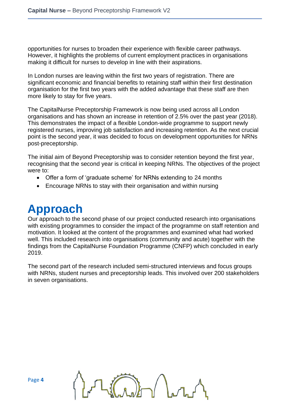opportunities for nurses to broaden their experience with flexible career pathways. However, it highlights the problems of current employment practices in organisations making it difficult for nurses to develop in line with their aspirations.

In London nurses are leaving within the first two years of registration. There are significant economic and financial benefits to retaining staff within their first destination organisation for the first two years with the added advantage that these staff are then more likely to stay for five years.

The CapitalNurse Preceptorship Framework is now being used across all London organisations and has shown an increase in retention of 2.5% over the past year (2018). This demonstrates the impact of a flexible London-wide programme to support newly registered nurses, improving job satisfaction and increasing retention. As the next crucial point is the second year, it was decided to focus on development opportunities for NRNs post-preceptorship.

The initial aim of Beyond Preceptorship was to consider retention beyond the first year, recognising that the second year is critical in keeping NRNs. The objectives of the project were to:

- Offer a form of 'graduate scheme' for NRNs extending to 24 months
- Encourage NRNs to stay with their organisation and within nursing

### <span id="page-3-0"></span>**Approach**

Our approach to the second phase of our project conducted research into organisations with existing programmes to consider the impact of the programme on staff retention and motivation. It looked at the content of the programmes and examined what had worked well. This included research into organisations (community and acute) together with the findings from the CapitalNurse Foundation Programme (CNFP) which concluded in early 2019.

The second part of the research included semi-structured interviews and focus groups with NRNs, student nurses and preceptorship leads. This involved over 200 stakeholders in seven organisations.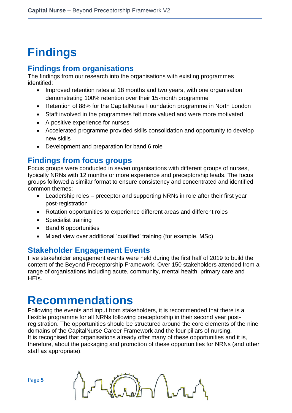# <span id="page-4-0"></span>**Findings**

#### <span id="page-4-1"></span>**Findings from organisations**

The findings from our research into the organisations with existing programmes identified:

- Improved retention rates at 18 months and two years, with one organisation demonstrating 100% retention over their 15-month programme
- Retention of 88% for the CapitalNurse Foundation programme in North London
- Staff involved in the programmes felt more valued and were more motivated
- A positive experience for nurses
- Accelerated programme provided skills consolidation and opportunity to develop new skills
- Development and preparation for band 6 role

### <span id="page-4-2"></span>**Findings from focus groups**

Focus groups were conducted in seven organisations with different groups of nurses, typically NRNs with 12 months or more experience and preceptorship leads. The focus groups followed a similar format to ensure consistency and concentrated and identified common themes:

- Leadership roles preceptor and supporting NRNs in role after their first year post-registration
- Rotation opportunities to experience different areas and different roles
- Specialist training
- Band 6 opportunities
- Mixed view over additional 'qualified' training (for example, MSc)

### <span id="page-4-3"></span>**Stakeholder Engagement Events**

Five stakeholder engagement events were held during the first half of 2019 to build the content of the Beyond Preceptorship Framework. Over 150 stakeholders attended from a range of organisations including acute, community, mental health, primary care and HEIs.

### <span id="page-4-4"></span>**Recommendations**

Following the events and input from stakeholders, it is recommended that there is a flexible programme for all NRNs following preceptorship in their second year postregistration. The opportunities should be structured around the core elements of the nine domains of the CapitalNurse Career Framework and the four pillars of nursing. It is recognised that organisations already offer many of these opportunities and it is, therefore, about the packaging and promotion of these opportunities for NRNs (and other staff as appropriate).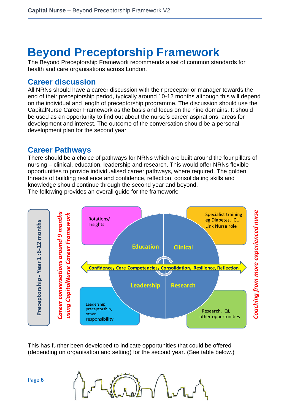### <span id="page-5-0"></span>**Beyond Preceptorship Framework**

The Beyond Preceptorship Framework recommends a set of common standards for health and care organisations across London.

#### <span id="page-5-1"></span>**Career discussion**

All NRNs should have a career discussion with their preceptor or manager towards the end of their preceptorship period, typically around 10-12 months although this will depend on the individual and length of preceptorship programme. The discussion should use the CapitalNurse Career Framework as the basis and focus on the nine domains. It should be used as an opportunity to find out about the nurse's career aspirations, areas for development and interest. The outcome of the conversation should be a personal development plan for the second year

#### <span id="page-5-2"></span>**Career Pathways**

There should be a choice of pathways for NRNs which are built around the four pillars of nursing – clinical, education, leadership and research. This would offer NRNs flexible opportunities to provide individualised career pathways, where required. The golden threads of building resilience and confidence, reflection, consolidating skills and knowledge should continue through the second year and beyond. The following provides an overall guide for the framework:

Coaching from more experienced nurse Career conversations around 9 months **Specialist training using CapitalNurse Career Framework** Rotations/ eg Diabetes, ICU Preceptorship - Year 1:6-12 months **Insights** Link Nurse role **Education Clinical Confidence, Core Competencies, Consolidation, Resilience, Reflection Leadership Research** Leadership, preceptorship, Research, QI, other other opportunities responsibility

This has further been developed to indicate opportunities that could be offered (depending on organisation and setting) for the second year. (See table below.)

Page **6**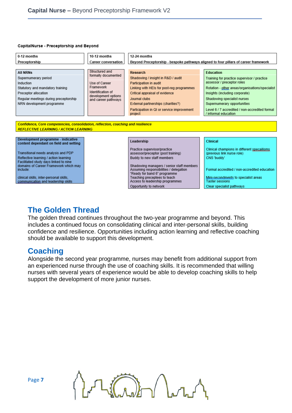#### CapitalNurse - Preceptorship and Beyond

| 0-12 months                                                                       | 10-12 months                             | 12-24 months                                                                        |                                                                        |  |  |
|-----------------------------------------------------------------------------------|------------------------------------------|-------------------------------------------------------------------------------------|------------------------------------------------------------------------|--|--|
| Preceptorship                                                                     | <b>Career conversation</b>               | Beyond Preceptorship - bespoke pathways aligned to four pillars of career framework |                                                                        |  |  |
|                                                                                   |                                          |                                                                                     |                                                                        |  |  |
| <b>All NRNs</b>                                                                   | Structured and                           | <b>Research</b>                                                                     | <b>Education</b>                                                       |  |  |
| Supernumerary period                                                              | formally documented                      | Shadowing / insight in R&D / audit                                                  | Training for practice supervisor / practice                            |  |  |
| Induction                                                                         | Use of Career                            | Participation in audit                                                              | assessor / preceptor roles                                             |  |  |
| Statutory and mandatory training                                                  | Framework                                | Linking with HEIs for post-reg programmes                                           | Rotation - other areas/organisations/specialist                        |  |  |
| Preceptor allocation                                                              | Identification of<br>development options | Critical appraisal of evidence                                                      | Insights (including corporate)                                         |  |  |
| Regular meetings during preceptorship                                             | and career pathways                      | Journal clubs                                                                       | Shadowing specialist nurses                                            |  |  |
| NRN development programme                                                         |                                          | External partnerships (charities?)                                                  | Supernumerary opportunities                                            |  |  |
|                                                                                   |                                          | Participation in QI or service improvement<br>project                               | Level 6 / 7 accredited / non-accredited formal<br>/ informal education |  |  |
|                                                                                   |                                          |                                                                                     |                                                                        |  |  |
| Confidence, Core competencies, consolidation, reflection, coaching and resilience |                                          |                                                                                     |                                                                        |  |  |
| <b>REFLECTIVE LEARNING / ACTION LEARNING</b>                                      |                                          |                                                                                     |                                                                        |  |  |
|                                                                                   |                                          |                                                                                     |                                                                        |  |  |
| Development programme - indicative                                                |                                          | Leadership                                                                          | <b>Clinical</b>                                                        |  |  |
| content dependant on field and setting                                            |                                          |                                                                                     |                                                                        |  |  |
|                                                                                   |                                          | Practice supervisor/practice                                                        | Clinical champions in different specallisms                            |  |  |
| Transitional needs analysis and PDP                                               |                                          | assessor/preceptor (post training)                                                  | (previous link nurse role)                                             |  |  |
| Reflective learning / action learning                                             |                                          | Buddy to new staff members                                                          | CNS 'buddy'                                                            |  |  |
| Facilitated study days linked to nine                                             |                                          |                                                                                     |                                                                        |  |  |
| domains of Career Framework which may<br>include:                                 |                                          | Shadowing managers / senior staff members<br>Assuming responsibilities / delegation | Formal accredited / non-accredited education                           |  |  |
|                                                                                   |                                          | "Ready for band 6" programme                                                        |                                                                        |  |  |
| clinical skills, inter-personal skills,                                           |                                          | Teaching preceptees to teach                                                        | Mini-secondments to specialist areas                                   |  |  |
| communication and leadership skills                                               |                                          | Access to leadership programmes                                                     | <b>Taster sessions</b>                                                 |  |  |
|                                                                                   |                                          | Opportunity to network                                                              | Clear specialist pathways                                              |  |  |

### **The Golden Thread**

The golden thread continues throughout the two-year programme and beyond. This includes a continued focus on consolidating clinical and inter-personal skills, building confidence and resilience. Opportunities including action learning and reflective coaching should be available to support this development.

### <span id="page-6-0"></span>**Coaching**

Alongside the second year programme, nurses may benefit from additional support from an experienced nurse through the use of coaching skills. It is recommended that willing nurses with several years of experience would be able to develop coaching skills to help support the development of more junior nurses.

 $\int_{0}^{\infty}\int_{\mathbf{b}}\int_{\mathbf{b}}\mathbf{b}$ 

Page **7**